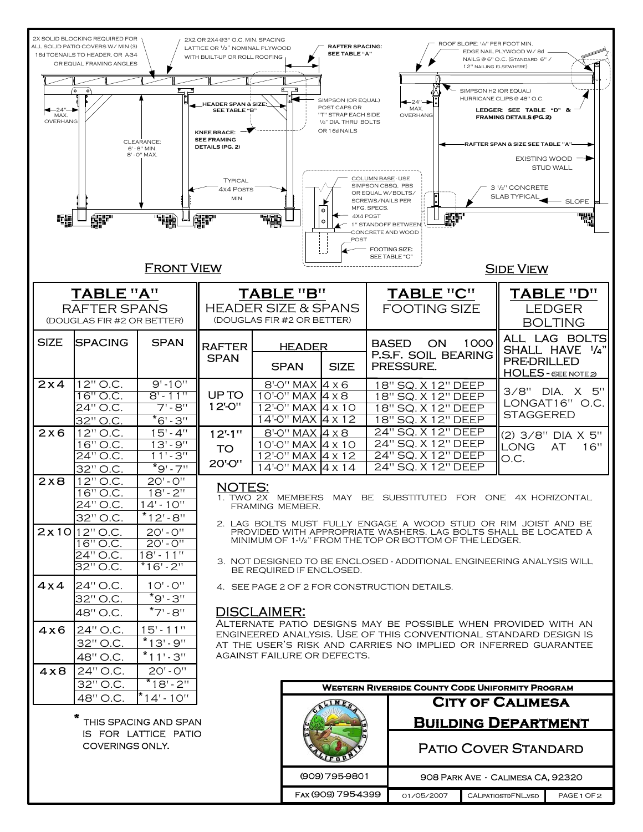|                                                                                                                                                                  | 2X SOLID BLOCKING REQUIRED FOR<br>ALL SOLID PATIO COVERS W/ MIN (3)<br>16d TOENAILS TO HEADER, OR A-34<br>OR EQUAL FRAMING ANGLES |                                                                           | 2X2 OR 2X4 @3" O.C. MIN. SPACING<br>LATTICE OR 1/2" NOMINAL PLYWOOD<br>WITH BUILT-UP OR ROLL ROOFING                                                                                                                                |  | <b>RAFTER SPACING:</b><br><b>SEE TABLE "A"</b>           |                                                                                                                                   |                                                               |                                                                                      | ROOF SLOPE: 1/4" PER FOOT MIN.<br>EDGE NAIL PLYWOOD W/8d<br>NAILS @ 6" O.C. (STANDARD 6" /<br>12" NAILING ELSEWHERE)            |                                              |                                                                 |
|------------------------------------------------------------------------------------------------------------------------------------------------------------------|-----------------------------------------------------------------------------------------------------------------------------------|---------------------------------------------------------------------------|-------------------------------------------------------------------------------------------------------------------------------------------------------------------------------------------------------------------------------------|--|----------------------------------------------------------|-----------------------------------------------------------------------------------------------------------------------------------|---------------------------------------------------------------|--------------------------------------------------------------------------------------|---------------------------------------------------------------------------------------------------------------------------------|----------------------------------------------|-----------------------------------------------------------------|
|                                                                                                                                                                  |                                                                                                                                   |                                                                           |                                                                                                                                                                                                                                     |  |                                                          |                                                                                                                                   |                                                               |                                                                                      |                                                                                                                                 |                                              |                                                                 |
| $^{\circ}$ $^{\circ}$<br>ি<br>$\bullet$<br>$-24"$<br>MAX.<br>OVERHANG<br>CLEARANCE:                                                                              |                                                                                                                                   |                                                                           | ு<br>$\overline{\phantom{a}}$<br>≔<br>_HEADER SPAN & SIZE<br><b>SEE TABLE "B"</b><br><b>KNEE BRACE:</b><br><b>SEE FRAMING</b>                                                                                                       |  |                                                          | SIMPSON (OR EQUAL)<br>$-24" -$<br>POST CAPS OR<br>MAX.<br>"T" STRAP EACH SIDE<br>OVERHANG<br>1/2" DIA. THRU BOLTS<br>OR 16d NAILS |                                                               |                                                                                      | SIMPSON H2 (OR EQUAL)<br>HURRICANE CLIPS @ 48" O.C.<br>LEDGER: SEE TABLE "D" &<br>FRAMING DETAILS (PG. 2)                       |                                              |                                                                 |
|                                                                                                                                                                  | 6' - 8" MIN.<br>8' - 0" MAX.                                                                                                      | <b>DETAILS (PG. 2)</b><br>TYPICAL<br>4x4 Posts<br>MIN                     |                                                                                                                                                                                                                                     |  |                                                          | COLUMN BASE - USE<br>SIMPSON CBSQ. PBS<br>OR EQUAL W/BOLTS/<br>SCREWS/NAILS PER<br>MFG. SPECS.                                    |                                                               |                                                                                      | RAFTER SPAN & SIZE SEE TABLE "A"<br><b>EXISTING WOOD</b><br><b>STUD WALL</b><br>3 1/2" CONCRETE<br>SLAB TYPICAL<br><b>SLOPE</b> |                                              |                                                                 |
| $\circ$<br>4X4 POST<br>1" STANDOFF BETWEEN<br>CONCRETE AND WOOD<br>POST<br><b>FOOTING SIZE:</b><br><b>SEE TABLE "C"</b><br><b>FRONT VIEW</b><br><b>SIDE VIEW</b> |                                                                                                                                   |                                                                           |                                                                                                                                                                                                                                     |  |                                                          |                                                                                                                                   |                                                               |                                                                                      |                                                                                                                                 |                                              |                                                                 |
|                                                                                                                                                                  |                                                                                                                                   |                                                                           |                                                                                                                                                                                                                                     |  |                                                          |                                                                                                                                   |                                                               |                                                                                      |                                                                                                                                 |                                              |                                                                 |
|                                                                                                                                                                  | TABLE "A"<br><b>RAFTER SPANS</b><br>(DOUGLAS FIR #2 OR BETTER)                                                                    | TABLE "B"<br><b>HEADER SIZE &amp; SPANS</b><br>(DOUGLAS FIR #2 OR BETTER) |                                                                                                                                                                                                                                     |  |                                                          | TABLE "C"<br><b>FOOTING SIZE</b>                                                                                                  |                                                               |                                                                                      |                                                                                                                                 | TABLE "D"<br><b>LEDGER</b><br><b>BOLTING</b> |                                                                 |
| <b>SIZE</b>                                                                                                                                                      | <b>ISPACING</b>                                                                                                                   | <b>SPAN</b>                                                               | <b>RAFTER</b><br><b>SPAN</b>                                                                                                                                                                                                        |  | <b>HEADER</b><br><b>SPAN</b>                             | <b>SIZE</b>                                                                                                                       | <b>BASED</b><br><b>ON</b><br>P.S.F. SOIL BEARING<br>PRESSURE. |                                                                                      | 1000                                                                                                                            | <b>PRE-DRILLED</b>                           | ALL LAG BOLTS<br>SHALL HAVE 1/4"<br><b>HOLES</b> - (SEE NOTE 2) |
| 2x4                                                                                                                                                              | 12" O.C.<br>$16"$ O.C.<br>24" O.C.<br>32" O.C.                                                                                    | $9' - 10''$<br>$8' - 11''$<br>$7 - 8$ "<br>$^*6 - 3$                      | UP TO<br>12'O"                                                                                                                                                                                                                      |  | 8'-0" MAX 4 x 6<br>$10'$ <sup>-O"</sup> MAX $4 \times 8$ | 12'-0" MAX 4 x 10<br>$14'$ -O" MAX $\overline{4}$ x 12                                                                            |                                                               | 18" SQ. X 12" DEEP<br>18" SQ. X 12" DEEP<br>18" SQ. X 12" DEEP<br>18" SQ. X 12" DEEP |                                                                                                                                 | <b>STAGGERED</b>                             | 3/8" DIA. X 5"<br>LONGAT16" O.C.                                |
| 2x6                                                                                                                                                              | 12" O.C.<br>$16"$ O.C.<br>$24"$ O.C.<br>32" O.C.                                                                                  | $15 - 4$<br>$13 - 9$<br>$11^{1.4}3^{11}$<br>$\overline{9}$ ' - 7"         | $12.1$ "<br><b>TO</b><br>20'-O"                                                                                                                                                                                                     |  | $8'$ -O" MAX 4 x 8                                       | 10'-0" MAX 4 x 10<br>12'-0" MAX 4 x 12<br>$14'$ -O" MAX $4 \times 14$                                                             |                                                               | 24" SQ. X 12" DEEP<br>24" SQ. X 12" DEEP<br>24" SQ. X 12" DEEP<br>24" SQ. X 12" DEEP |                                                                                                                                 | <b>LONG</b><br>O.C.                          | (2) 3/8" DIA X 5"<br>16"<br>AT                                  |
| 2x8                                                                                                                                                              | 12" O.C.<br>$16"$ O.C.<br>24" O.C.<br>32" O.C.                                                                                    | $20' - 0''$<br>$18 - 2$<br>$14 - 10$<br>$*12 - 8$                         | <b>NOTES:</b><br>1. TWO 2X MEMBERS MAY BE SUBSTITUTED FOR ONE 4X HORIZONTAL<br>FRAMING MEMBER.<br>2. LAG BOLTS MUST FULLY ENGAGE A WOOD STUD OR RIM JOIST AND BE                                                                    |  |                                                          |                                                                                                                                   |                                                               |                                                                                      |                                                                                                                                 |                                              |                                                                 |
|                                                                                                                                                                  | $2x10 12"$ O.C.<br>16" O.C.<br>$24"$ O.C.<br>$32"$ O.C.                                                                           | $20' - 0''$<br>$20 - 0$<br>$18' - 11''$<br>$*16 - 2$                      | PROVIDED WITH APPROPRIATE WASHERS. LAG BOLTS SHALL BE LOCATED A<br>MINIMUM OF 1-1/2" FROM THE TOP OR BOTTOM OF THE LEDGER.<br>3. NOT DESIGNED TO BE ENCLOSED - ADDITIONAL ENGINEERING ANALYSIS WILL                                 |  |                                                          |                                                                                                                                   |                                                               |                                                                                      |                                                                                                                                 |                                              |                                                                 |
| $4 \times 4$                                                                                                                                                     | 24" O.C.<br>32" O.C.<br>48" O.C.                                                                                                  | $10' - 0''$<br>$*9 - 3$<br>$*7$ ' - $8$ ''                                | BE REQUIRED IF ENCLOSED.<br>4. SEE PAGE 2 OF 2 FOR CONSTRUCTION DETAILS.<br><b>DISCLAIMER:</b>                                                                                                                                      |  |                                                          |                                                                                                                                   |                                                               |                                                                                      |                                                                                                                                 |                                              |                                                                 |
| 4x6                                                                                                                                                              | 24" O.C.<br>32" O.C.<br>48" O.C.                                                                                                  | $15 - 11$<br>$*13 - 9"$<br>$*11-.3$                                       | ALTERNATE PATIO DESIGNS MAY BE POSSIBLE WHEN PROVIDED WITH AN<br>ENGINEERED ANALYSIS. USE OF THIS CONVENTIONAL STANDARD DESIGN IS<br>AT THE USER'S RISK AND CARRIES NO IMPLIED OR INFERRED GUARANTEE<br>AGAINST FAILURE OR DEFECTS. |  |                                                          |                                                                                                                                   |                                                               |                                                                                      |                                                                                                                                 |                                              |                                                                 |
| 4x8                                                                                                                                                              | 24" O.C.                                                                                                                          | $20' - 0''$                                                               |                                                                                                                                                                                                                                     |  |                                                          |                                                                                                                                   |                                                               |                                                                                      |                                                                                                                                 |                                              |                                                                 |
| $*18 - 2$<br>32" O.C.<br><b>WESTERN RIVERSIDE COUNTY CODE UNIFORMITY PROGRAM</b><br>$*14 - 10$                                                                   |                                                                                                                                   |                                                                           |                                                                                                                                                                                                                                     |  |                                                          |                                                                                                                                   |                                                               |                                                                                      |                                                                                                                                 |                                              |                                                                 |
|                                                                                                                                                                  | 48" O.C.<br>₩<br>THIS SPACING AND SPAN                                                                                            |                                                                           |                                                                                                                                                                                                                                     |  |                                                          |                                                                                                                                   |                                                               | <b>CITY OF CALIMESA</b><br><b>BUILDING DEPARTMENT</b>                                |                                                                                                                                 |                                              |                                                                 |
|                                                                                                                                                                  | IS FOR LATTICE PATIO<br>COVERINGS ONLY.                                                                                           |                                                                           |                                                                                                                                                                                                                                     |  |                                                          |                                                                                                                                   | <b>PATIO COVER STANDARD</b>                                   |                                                                                      |                                                                                                                                 |                                              |                                                                 |
|                                                                                                                                                                  |                                                                                                                                   |                                                                           |                                                                                                                                                                                                                                     |  | (909) 795-9801                                           |                                                                                                                                   |                                                               |                                                                                      |                                                                                                                                 | 908 PARK AVE - CALIMESA CA, 92320            |                                                                 |
|                                                                                                                                                                  |                                                                                                                                   |                                                                           |                                                                                                                                                                                                                                     |  |                                                          | FAX (909) 795-4399                                                                                                                |                                                               | 01/05/2007                                                                           |                                                                                                                                 | <b>CALPATIOSTDFNLVSD</b>                     | PAGE 1 OF 2                                                     |